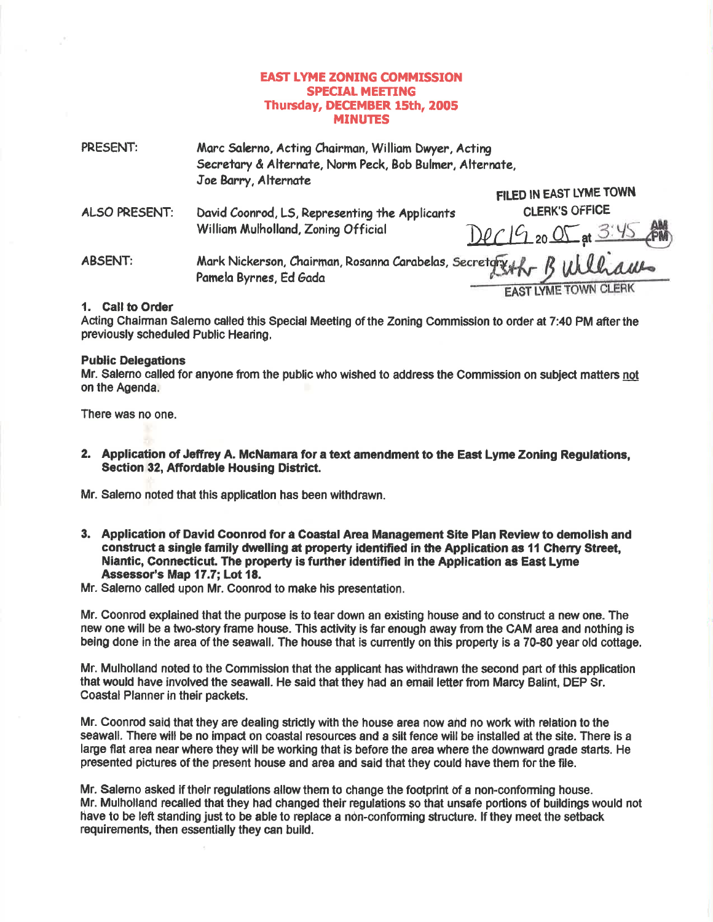### **EAST LYME ZONING COMMISSION SPECIAL MEETING** Thursday, DECEMBER 15th, 2005 **MINUTES**

| PRESENT:       | Marc Salerno, Acting Chairman, William Dwyer, Acting<br>Secretary & Alternate, Norm Peck, Bob Bulmer, Alternate, |                             |
|----------------|------------------------------------------------------------------------------------------------------------------|-----------------------------|
|                |                                                                                                                  |                             |
|                | Joe Barry, Alternate                                                                                             |                             |
|                |                                                                                                                  | FILED IN EAST LYME TOWN     |
| ALSO PRESENT:  | David Coonrod, LS, Representing the Applicants<br>William Mulholland, Zoning Official                            | <b>CLERK'S OFFICE</b>       |
|                |                                                                                                                  | Dec 19 20 05 at 3:45 AM     |
| <b>ABSENT:</b> | 5 Bulliaus<br>Mark Nickerson, Chairman, Rosanna Carabelas, Secretory<br>Pamela Byrnes, Ed Gada                   |                             |
|                |                                                                                                                  | <b>EAST LYME TOWN CLERK</b> |

#### 1. Call to Order

Acting Chairman Salerno called this Special Meeting of the Zoning Commission to order at 7:40 PM after the previously scheduled Public Hearing.

#### **Public Delegations**

Mr. Salerno called for anyone from the public who wished to address the Commission on subject matters not on the Agenda.

There was no one.

2. Application of Jeffrey A. McNamara for a text amendment to the East Lyme Zoning Regulations, Section 32, Affordable Housing District.

Mr. Salemo noted that this application has been withdrawn.

- 3. Application of David Coonrod for a Coastal Area Management Site Plan Review to demolish and construct a single family dwelling at property identified in the Application as 11 Cherry Street. Niantic, Connecticut. The property is further identified in the Application as East Lyme Assessor's Map 17.7; Lot 18.
- Mr. Salerno called upon Mr. Coonrod to make his presentation.

Mr. Coonrod explained that the purpose is to tear down an existing house and to construct a new one. The new one will be a two-story frame house. This activity is far enough away from the CAM area and nothing is being done in the area of the seawall. The house that is currently on this property is a 70-80 year old cottage.

Mr. Mulholland noted to the Commission that the applicant has withdrawn the second part of this application that would have involved the seawall. He said that they had an email letter from Marcy Balint, DEP Sr. Coastal Planner in their packets.

Mr. Coonrod said that they are dealing strictly with the house area now and no work with relation to the seawall. There will be no impact on coastal resources and a silt fence will be installed at the site. There is a large flat area near where they will be working that is before the area where the downward grade starts. He presented pictures of the present house and area and said that they could have them for the file.

Mr. Salerno asked if their regulations allow them to change the footprint of a non-conforming house. Mr. Mulholland recalled that they had changed their regulations so that unsafe portions of buildings would not have to be left standing just to be able to replace a non-conforming structure. If they meet the setback requirements, then essentially they can build.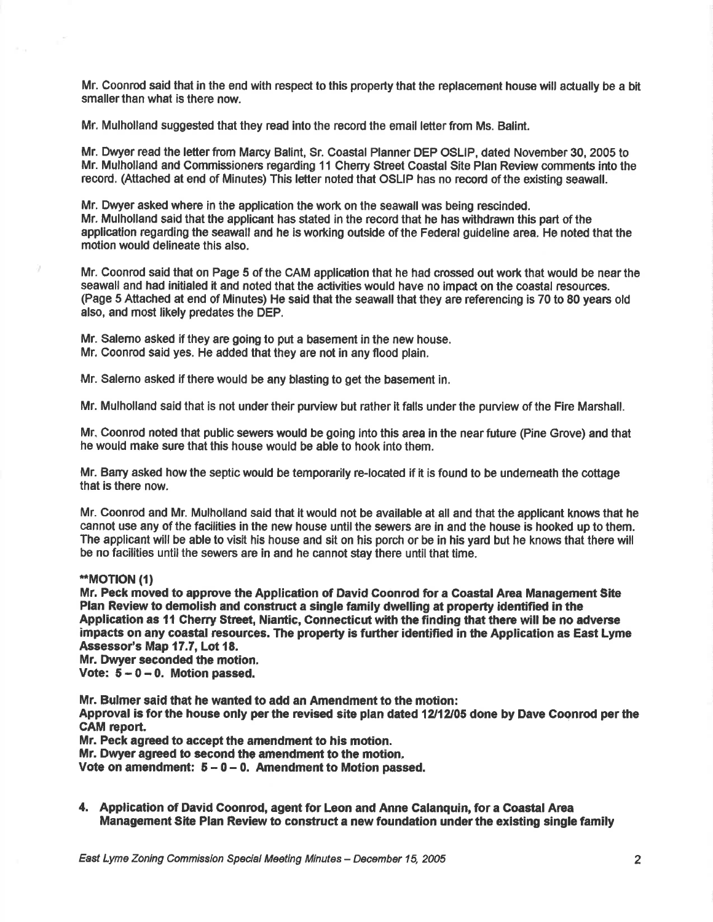Mr. Coonrod said that in the end with respect to this property that the replacement house will actually be a bit smaller than what is there now.

Mr. Mulholland suggested that they read into the record the email letterfrom Ms. Balint.

Mr. Dwyer read the letterfrom Marcy Balint, Sr. Coastal Planner DEP OSLIP, dated November 30, 2005 to Mr. Mulholland and Commissioners regarding 11 Cherry Street Coastal Site Plan Review comments into the recod. (Attached at end of Minutes) This letter noted that OSLIP has no record of the existing soawall.

Mr. Dwyer asked where in the application the work on the seawall was being rescinded. Mr. Mulholland said that the applicant has stated in the record that he has withdrawn this part of the application regarding the seawall and he is working outside of the Federal guideline area. He noted that the motion would delineate this also.

Mr. Goonrod said that on Page 5 of the CAM applicetion that he had crossed out work that would be nearthe seawall and had initialed it and noted that the activities would have no impact on the coastal resources. (Page 5 Attached at end of Minutes) He said that the seawall that they are referencing is 70 to 80 years old also, and most likely predates the DEP.

Mr. Salemo asked if they are going to put a basement in the new house. Mr. Coonrod said yes. He added that they are not in any flood plain.

Mr. Salerno asked if there would be any blasting to get the basement in.

Mr. Mulholland said that is not under their purview but rather it falls under the purview of the Fire Marshall.

Mr. Coonrod noted that public sewers would be going into this area in the near future (Pine Grove) and that he would make sure that this house would be able to hook into them,

Mr. Barry asked how the septic would be temporarily re-located if it is found to be undemeath the cottage that is there now.

Mr. Coonrod and Mr. Mulholland said that it would not be available at all and that the applicant knows that he cannot use any of the facilities in the new house until the sewers are in and the house is hoolred up to them. The applicant will be able to visft his house and sit on his porch or be in his yard but he knows that there will be no facilities until the sewers are in and he cannot stay there until that time.

#### \*MOTTON (1)

Mr. Peck moved to approve the Application of David Coonrod for a Coastal Area Management Site Plan Review to demolish and construct a single family dwelling at property identified in the Application as 11 Cherry Street, Niantic, Connecticut with the finding that there will be no adverse impacts on any coastal resources. The property is further identified in the Application as East Lyme Assessor's Map 17.7, Lot 18.

Mr. Dwyer seconded the motion.

Vote:  $5 - 0 - 0$ . Motion passed.

Mr. Bulmer said that he wanted to add an Amendment to the motion:

Approval is for the house only per the revised site plan dated 12/12/05 done by Dave Coonrod per the CAM report.

Mr. Peck agreed to accept the amendment to his motion,

Mr. Dwyer agreed to second the amendment to the motion.

Vote on amendment:  $5 - 0 - 0$ . Amendment to Motion passed.

4, Application of David Coonrod, agent for Leon and Anne Calanquin, for a Coastal Area Management Site Plan Review to construct a new foundation under the existing single family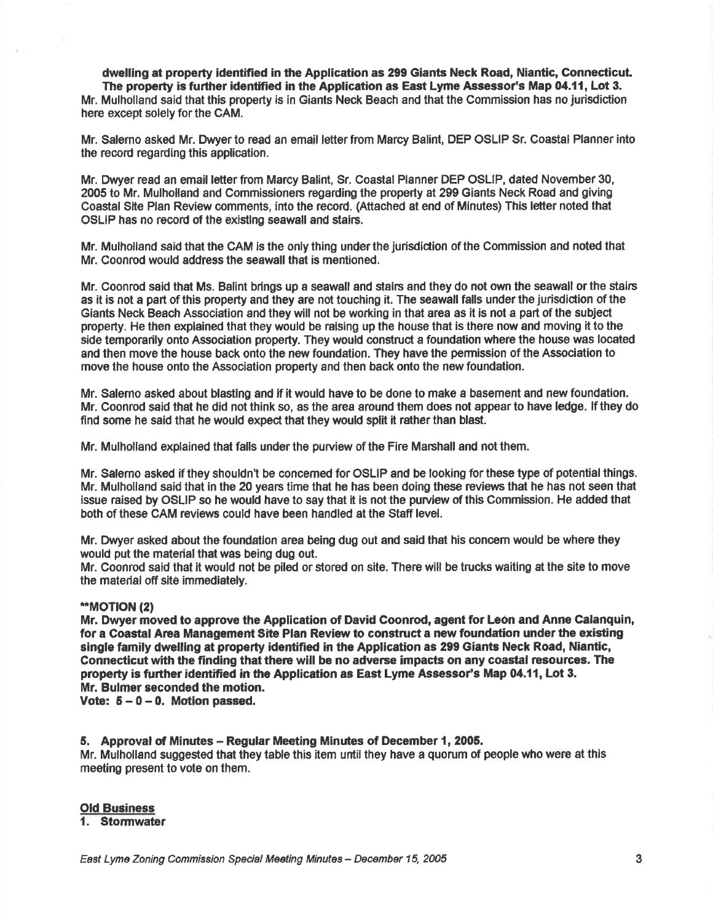dwelling at property identified in the Application as 299 Giants Neck Road, Niantic, Connecticut. The property is further identified in the Application as East Lyme Assessor's Map 04.11, Lot 3. Mr. Mulholland said that this property is in Giants Neck Beach and that the Commission has no Jurisdiction here except solely for the CAM.

Mr. Salerno asked Mr. Dwyer to read an email letter from Marcy Balint, DEP OSLIP Sr. Coastal Planner into the record regarding this application.

Mr. Dwyer read an email letter from Marcy Balint, Sr. Coastal Planner DEP OSLIP, dated November 30, 2005 to Mr, Mulholland and Commissioners regarding the property at 299 Giants Neck R0ad and giving Coastal Site Plan Review comments, into the record. (Attached at end of Minutes) This letter noted that OSLIP has no record of the existlng seawall and stairs.

Mr. Mulholland said that the CAM is the only thing underthe jurisdidion of the Commission and noted that Mr. Coonrod would address the seawall that is mentioned.

Mr. Coonrod said that Ms. Balint brings up a seawall and stairs and they do not own the seawall ortho stairs as it is not a part of this property and they are not touching it. The seawall falls under the jurisdiction of the Giants Neck Beach Association and they will not be working in that area as it is not a part of the subject property. He then explained that they would be raising up the house that is there now and moving it to the side temporarily onto Association property. They would construct a foundation where the house was located and then move the house back onto the new foundation. They have the permission of the Association to move the house onto the Association property and then back onto the new foundation.

Mr. Salemo asked about blastlng and if it would have to be done to make e basement and new foundation. Mr. Coonrod said that he did not think so, as the area around them does not appear to have ledge. lf they do find some he said that he would oxped that they would split it rather than blast.

Mr. Mulholland explained that falls under the purview of the Fire Marshall and not them.

Mr. Salemo asked if they shouldn't be concerned for OSLIP and be looking for these type of potential things. Mr. Mulholland said that in the 20 years time that he has been doing these reviews that he has not seen that issue raised by OSLIP so he would have to say that it is not the purview of this Gommission. He added that both of these CAM reviews could have been handled at the Staff level.

Mr. Dwyer asked about the foundation area being dug out and said that his concem would be where they would put the material that was being dug out.

Mr. Coonrod sald that it would not be piled or stored on site. There will be trucks waiting at the site to move the material off site immediately.

#### \*MOTION (21

Mr. Dwyer moved to approve the Application of David Coonrod, agent for Leon and Anne Calanquin, for a Coastal Area Management Site Plan Review to construct a new foundation under the existing single family dwelling at property identified in the Application as 299 Giants Neck Road, Niantic, Connecticut with the finding that there will be no adverse impacts on any coastal resources. The property is further identified in the Application as East Lyme Assessor's Map 04.11, Lot 3. Mr. Bulmer seconded the motion.

Vote:  $5 - 0 - 0$ . Motion passed.

#### 5. Approval of Minutes – Regular Meeting Minutes of December 1, 2005,

Mr. Mulholland suggested that they table this item until they have a quorum of people who were at this meeting present to vote on them.

#### **Old Business**

1, Stormwater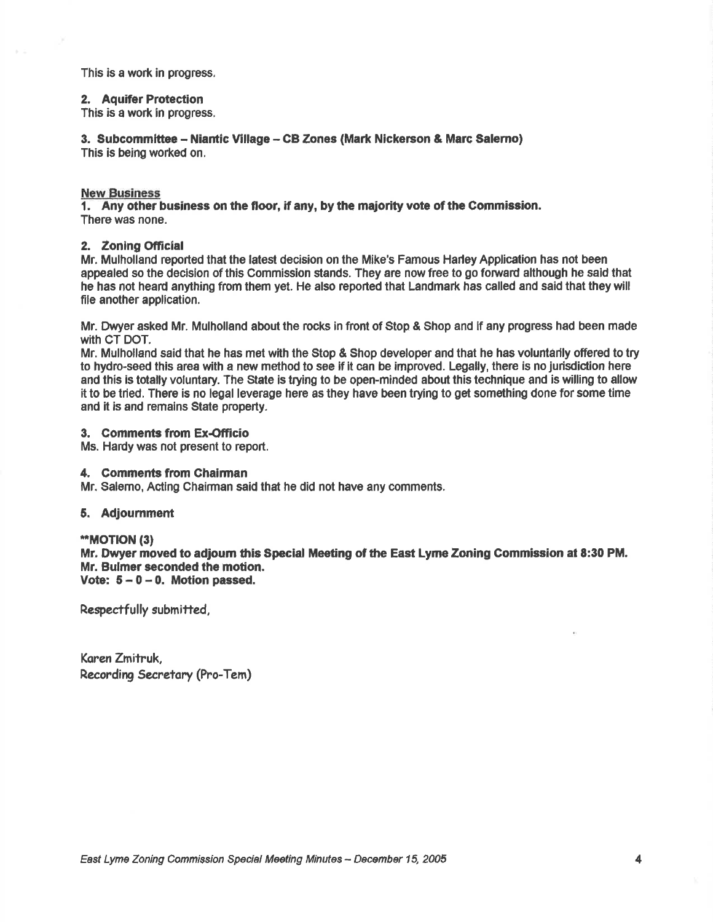This is a work in progress.

#### 2. Aquifer Protection

This is a work in progress.

3. Subcommittee - Niantic Village - CB Zones (Mark Nickerson & Marc Salerno) This is being worked on.

New Business<br>1. Any other business on the floor, if any, by the majority vote of the Commission. There was none.

#### 2. Zoning Official

Mr. Mulholland reported that the latesi decision on the Mike's Famous Harley Application has not been appealed so the decision of this Commission stands. They are now free to go fonrard although he sald that he has not heard anything from them yet. He also reported that Landmark has called and said that they will file another application.

Mr. Dwyer asked Mr. Mulholland about the rocks in front of Stop & Shop and if any progress had been made with CT DOT.

Mr. Mulholland said that he has met with the Stop & Shop developer and that he has voluntarily offered to try to hydro-seed this area with a new method to see if it can be improved. Legally, there is no jurisdic'tion here and this is totally voluntary. The State is trying to be open-minded about this technlque and is willing to allour it to be tried, There is no legal leverage here as they have been trying to get something done for some time and it is and remains State property.

#### 3. Comments from Ex-Officio

Ms. Hardy was not present to report,

#### 4, Comments from Ghalrman

Mr. Salemo, Acting Chairman said that he did not have any comments.

#### 5. Adjoumment

\*MOTION (3) Mr. Dwyer moved to adjourn this Special Meeting of the East Lyme Zoning Commission at 8:30 PM. Mr. Bulmer seconded the motion. Vote:  $5-0-0$ . Motion passed.

Respectfully submitted,

Koren Zmitruk, Recording Secretary (Pro-Tem)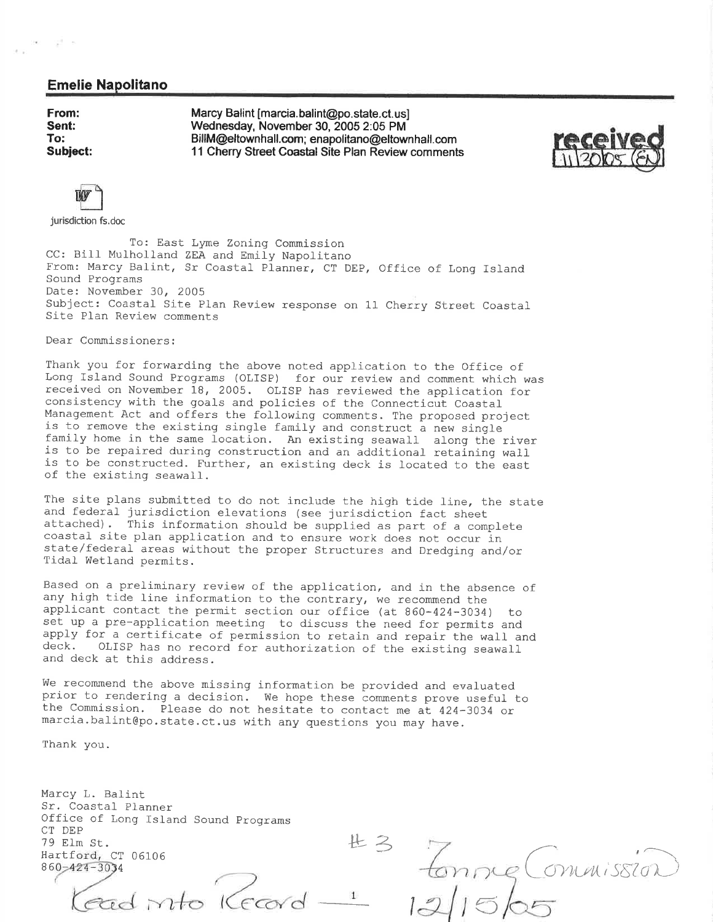#### Emelie Napolitano

From: Sent: To: Subiect:

× gli n

Marcy Balint [marcia.balint@po.state.ct.us] Wednesday, November 30, 2005 2:05 PM BillM@eltownhall.com; enapolitano@eltownhall.com 11 Cherry Street Goastal Site Plan Review comments





jurisdiction fs.doc

To: East Lyme Zoning Commission CC: Bill Mulholland ZEA and Emily Napolitano From: Marcy Balint, Sr Coastal Planner, CT DEP, Office of Long Island Sound Programs Date: November 30, 2005 Subject: Coastal Site Plan Review response on 11 Cherry Street Coastal Site Plan Review comments

Dear Commissioners:

Thank you for forwarding the above noted application to the Office of Long Island Sound Programs (OLISP) for our review and comment which was received on November 18, 2005. OLISP has reviewed the application for consistency with the goals and policies of the Connecticut Coastal Management Act and offers the following comments. The proposed project<br>is to remove the existing single family and construct a new single<br>family home in the same location. An existing seawall along the river<br>is to be repai

The site plans submitted to do not include the high tide line, the state<br>and federal jurisdiction elevations (see jurisdiction fact sheet<br>attached). This information should be supplied as part of a complete<br>coastal site pl state/federal areas without the proper Structures and Dredging and/or Tidal Wetland permits.

Based on a preliminary review of the application, and in the absence of any high tide line information to the contrary, we recommend the applicant contact the permit section our office (at 860-424-3034) to<br>set up a pre-application meeting to discuss the need for permits and<br>apply for a certificate of permission to retain and repair the wall and<br>deck. OLISP

We recommend the above missing information be provided and evaluated<br>prior to rendering a decision. We hope these comments prove useful to<br>the Commission. Please do not hesitate to contact me at 424-3034 or<br>marcia.balint@p

Thank you.

Marcy L. Balint Sr. Coastal Planner Office of Long Island Sound Programs CT DEP 79 Elm St. Hartford, CT 06106 860-424-3034

lead into Kecard  $\mathbf{1}$ 

**出3**  $E_{nng}$  Commission 5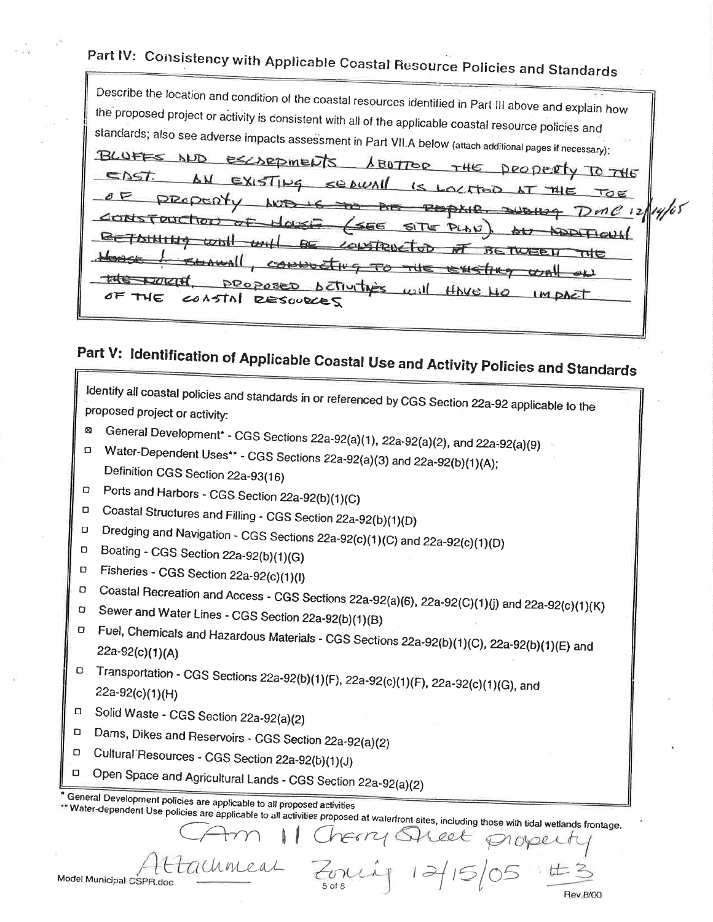## Part IV: Consistency with Applicable Coastal Resource Policies and Standards

Describe the location and condition of the coastal resources identified in Part III above and explain how the proposed project or activity is consistent with all of the applicable coastal resource policies and standards; also see adverse impacts assessment in Part VII.A below (attach additional pages if necessary): BLUFFS ND ESCARDMENTS 1 BOTTOR THE DROPERTY TO THE ENST.  $EXISTP9$  $se$   $\omega$  $\leq$ LOCATOD  $kT$ TOE ANTE  $D$ one  $\frac{1}{2}$ 14/05 **RODAIR JUBILIS Prime** CONSTRUCTION  $\sigma$ ≤66 SITE PLAN **RETAINING**  $w$ <sub>b</sub> LONSTRUCTOD **BETWEEN** त्मह SEAWALL CONNUCTING TO THE EXISTING  $\sigma$  all THE PUCIH proposed **Betturthers**  $u_2$ ;11 HAVE HO IM DACT THE COASTAL RESOURCES

# Part V: Identification of Applicable Coastal Use and Activity Policies and Standards

Identify all coastal policies and standards in or referenced by CGS Section 22a-92 applicable to the proposed project or activity:

General Development\* - CGS Sections 22a-92(a)(1), 22a-92(a)(2), and 22a-92(a)(9) Ø.

Water-Dependent Uses\*\* - CGS Sections 22a-92(a)(3) and 22a-92(b)(1)(A);  $\Box$ Definition CGS Section 22a-93(16)

Ports and Harbors - CGS Section 22a-92(b)(1)(C)  $\Box$ 

Coastal Structures and Filling - CGS Section 22a-92(b)(1)(D)  $\Box$  $\Box$ 

Dredging and Navigation - CGS Sections 22a-92(c)(1)(C) and 22a-92(c)(1)(D)  $\Box$ 

- Boating CGS Section 22a-92(b)(1)(G) n
- Fisheries CGS Section 22a-92(c)(1)(l)  $\Box$

Coastal Recreation and Access - CGS Sections 22a-92(a)(6), 22a-92(C)(1)(j) and 22a-92(c)(1)(K)  $\Box$ 

- Sewer and Water Lines CGS Section 22a-92(b)(1)(B)  $\Box$
- Fuel, Chemicals and Hazardous Materials CGS Sections 22a-92(b)(1)(C), 22a-92(b)(1)(E) and  $22a-92(c)(1)(A)$

D Transportation - CGS Sections 22a-92(b)(1)(F), 22a-92(c)(1)(F), 22a-92(c)(1)(G), and 22a-92(c)(1)(H)

- Solid Waste CGS Section 22a-92(a)(2)  $\Box$
- Dams, Dikes and Reservoirs CGS Section 22a-92(a)(2)  $\Box$
- Cultural Resources CGS Section 22a-92(b)(1)(J)  $\Box$
- Open Space and Agricultural Lands CGS Section 22a-92(a)(2)  $\Box$

General Development policies are applicable to all proposed activities

Water-dependent Use policies are applicable to all activities proposed at waterfront sites, including those with tidal wetlands frontage.

ONLLP

herry Ofteet

noper

chrical Model Municipal CSPR.doc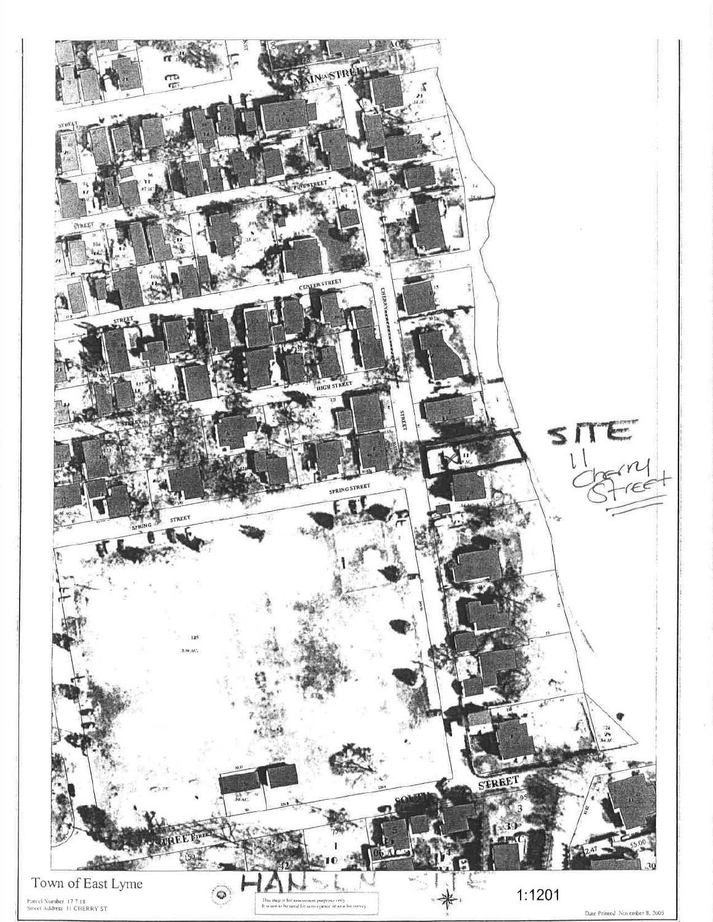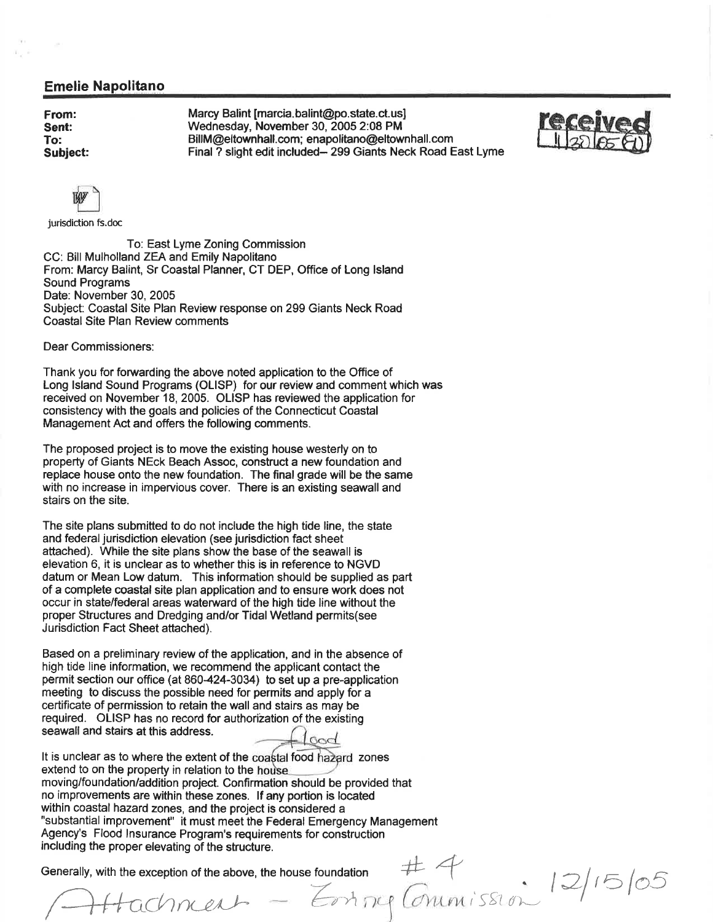#### Emelie Napolitano

From: Sent: To: Subiect: Marcy Balint [marcia.balint@po.state.ct.us] Wednesday, November 30, 2005 2:08 PM BillM@eltownhall.com; enapolitano@eltownhall. com Final ? slight edit included- 299 Giants Neck Road East Lyme





jurisdiction fs.doc

To: East Lyme Zoning Commission CC: Bill Mulholland ZEA and Emily Napolitano From: Marcy Balint, Sr Coastal Planner, CT DEP, Office of Long Island Sound Programs Date: November 30, 2005 Subject: Coastal Site Plan Review response on 299 Giants Neck Road Coastal Site Plan Review comments

Dear Commissioners:

Thank you for forwarding the above noted application to the Office of Long lsland Sound Programs (OLISP) for our review and comment which was received on November 18, 2005. OLISP has reviewed the application for consistency with the goals and policies of the Connecticut Coastal Management Act and offers the following comments.

The proposed project is to move the existing house westerly on to property of Giants NEck Beach Assoc, construct a new foundation and replace house onto the new foundation. The final grade will be the same with no increase in impervious cover. There is an existing seawall and stairs on the site.

The site plans submitted to do not include the high tide line, the state and federal jurisdiction elevation (see jurisdiction fact sheet attached). While the site plans show the base of the seawall is elevation 6, it is unclear as to whether this is in reference to NGVD datum or Mean Low datum. This information should be supplied as part of a complete coastal site plan application and to ensure work does not occur in state/federal areas waterward of the high tide line without the proper Structures and Dredging and/or Tidal Wetland permits(see Jurisdiction Fact Sheet attached).

Based on a preliminary review of the application, and in the absence of high tide line information, we recommend the applicant contact the permit section our office (at 860-424-3034) to set up a pre-application meeting to discuss the possible need for permits and apply for a certificate of permission to retain the wall and stairs as may be required. OL]SP has no record for authorization of the existing seawall and stairs at this address. God

It is unclear as to where the extent of the coastal food hazard zones extend to on the property in relation to the house moving/foundation/addition project. Confirmation should be provided that no improvements are within these zones. lf any portion is located within coastal hazard zones, and the project is considered a "substantial improvement" it must meet the Federal Emergency Management Agency's Flood lnsurance Program's requirements for construction including the proper elevating of the structure. Equirements for construction<br>including the proper elevating of the structure.<br>Generally, with the exception of the above, the house foundation

Attachment - Emmy Commission

 $|2/5|05$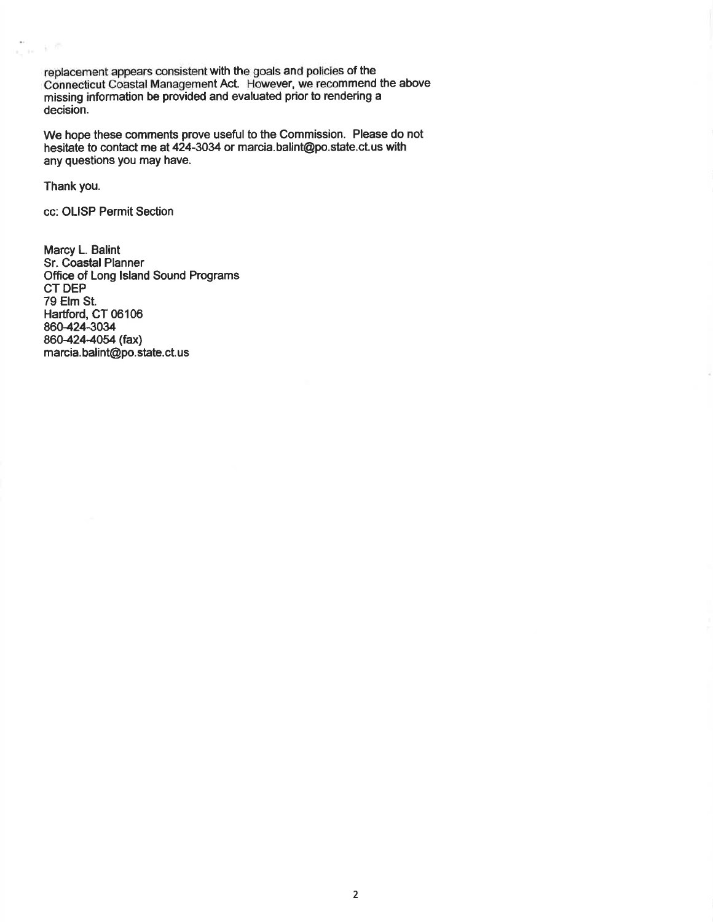replacement appears consistent with the goals and policies of the Connecticut Coastal Management Act. However, we recommend the above missing information be provided and evaluated prior to rendering a decision.

We hope these comments prove useful to the Commission. Please do not hesitate to contact me at 424-3034 or marcia. balint@po. state. ct. us with any questions you may have.

Thank you.

 $\frac{m}{\lambda_1+\epsilon} \leq \beta^2$ 

cc: OLISP Permit Section

Marcy L. Balint Sr. Coastal Planner Office of Long lsland Sound Programs CT DEP 79 Elm St. Hartford, CT 06106 860424-3034 860-424-4054 (fax) marcia. balint@po. state.ct.us